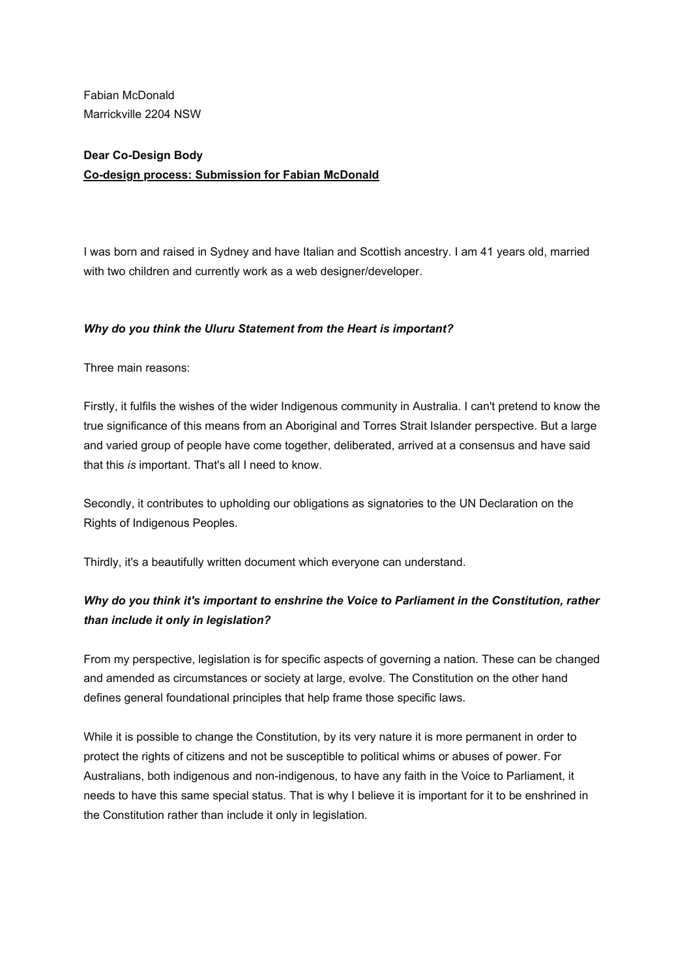Marrickville 2204 NSW Fabian McDonald

## **Dear Co-Design Body Co-design process: Submission for Fabian McDonald**

 I was born and raised in Sydney and have Italian and Scottish ancestry. I am 41 years old, married with two children and currently work as a web designer/developer.

## *Why do you think the Uluru Statement from the Heart is important?*

Three main reasons:

 Firstly, it fulfils the wishes of the wider Indigenous community in Australia. I can't pretend to know the true significance of this means from an Aboriginal and Torres Strait Islander perspective. But a large and varied group of people have come together, deliberated, arrived at a consensus and have said that this *is* important. That's all I need to know.

 Secondly, it contributes to upholding our obligations as signatories to the UN Declaration on the Rights of Indigenous Peoples.

Thirdly, it's a beautifully written document which everyone can understand.

# *Why do you think it's important to enshrine the Voice to Parliament in the Constitution, rather than include it only in legislation?*

 From my perspective, legislation is for specific aspects of governing a nation. These can be changed and amended as circumstances or society at large, evolve. The Constitution on the other hand defines general foundational principles that help frame those specific laws.

 While it is possible to change the Constitution, by its very nature it is more permanent in order to protect the rights of citizens and not be susceptible to political whims or abuses of power. For Australians, both indigenous and non-indigenous, to have any faith in the Voice to Parliament, it needs to have this same special status. That is why I believe it is important for it to be enshrined in the Constitution rather than include it only in legislation.